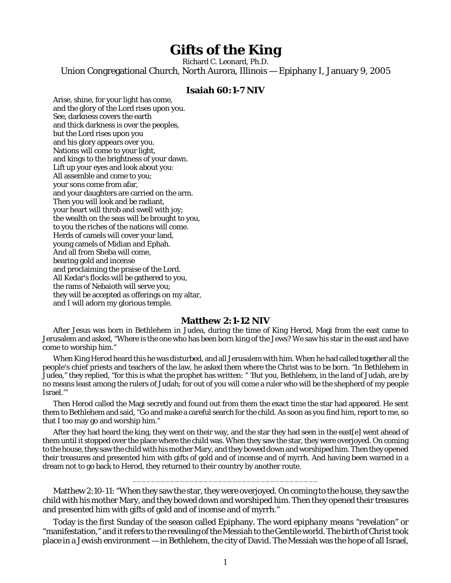## **Gifts of the King**

Richard C. Leonard, Ph.D. Union Congregational Church, North Aurora, Illinois — Epiphany I, January 9, 2005

## **Isaiah 60:1-7 NIV**

Arise, shine, for your light has come, and the glory of the Lord rises upon you. See, darkness covers the earth and thick darkness is over the peoples, but the Lord rises upon you and his glory appears over you. Nations will come to your light, and kings to the brightness of your dawn. Lift up your eyes and look about you: All assemble and come to you; your sons come from afar, and your daughters are carried on the arm. Then you will look and be radiant, your heart will throb and swell with joy; the wealth on the seas will be brought to you, to you the riches of the nations will come. Herds of camels will cover your land, young camels of Midian and Ephah. And all from Sheba will come, bearing gold and incense and proclaiming the praise of the Lord. All Kedar's flocks will be gathered to you, the rams of Nebaioth will serve you; they will be accepted as offerings on my altar, and I will adorn my glorious temple.

## **Matthew 2:1-12 NIV**

After Jesus was born in Bethlehem in Judea, during the time of King Herod, Magi from the east came to Jerusalem and asked, "Where is the one who has been born king of the Jews? We saw his star in the east and have come to worship him."

When King Herod heard this he was disturbed, and all Jerusalem with him. When he had called together all the people's chief priests and teachers of the law, he asked them where the Christ was to be born. "In Bethlehem in Judea," they replied, "for this is what the prophet has written: " 'But you, Bethlehem, in the land of Judah, are by no means least among the rulers of Judah; for out of you will come a ruler who will be the shepherd of my people Israel.'"

Then Herod called the Magi secretly and found out from them the exact time the star had appeared. He sent them to Bethlehem and said, "Go and make a careful search for the child. As soon as you find him, report to me, so that I too may go and worship him."

After they had heard the king, they went on their way, and the star they had seen in the east[e] went ahead of them until it stopped over the place where the child was. When they saw the star, they were overjoyed. On coming to the house, they saw the child with his mother Mary, and they bowed down and worshiped him. Then they opened their treasures and presented him with gifts of gold and of incense and of myrrh. And having been warned in a dream not to go back to Herod, they returned to their country by another route.

Matthew 2:10-11: "When they saw the star, they were overjoyed. On coming to the house, they saw the child with his mother Mary, and they bowed down and worshiped him. Then they opened their treasures and presented him with gifts of gold and of incense and of myrrh."

\_\_\_\_\_\_\_\_\_\_\_\_\_\_\_\_\_\_\_\_\_\_\_\_\_\_\_\_\_\_\_\_\_\_\_\_\_\_\_

Today is the first Sunday of the season called Epiphany. The word *epiphany* means "revelation" or "manifestation," and it refers to the revealing of the Messiah to the Gentile world. The birth of Christ took place in a Jewish environment — in Bethlehem, the city of David. The Messiah was the hope of all Israel,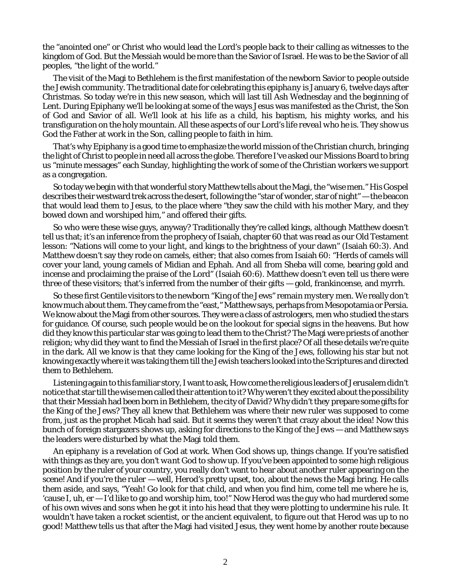the "anointed one" or Christ who would lead the Lord's people back to their calling as witnesses to the kingdom of God. But the Messiah would be more than the Savior of Israel. He was to be the Savior of all peoples, "the light of the world."

The visit of the Magi to Bethlehem is the first manifestation of the newborn Savior to people outside the Jewish community. The traditional date for celebrating this *epiphany* is January 6, twelve days after Christmas. So today we're in this new season, which will last till Ash Wednesday and the beginning of Lent. During Epiphany we'll be looking at some of the ways Jesus was *manifested* as the Christ, the Son of God and Savior of all. We'll look at his life as a child, his baptism, his mighty works, and his transfiguration on the holy mountain. All these aspects of our Lord's life *reveal who he is.* They show us God the Father at work in the Son, calling people to faith in him.

That's why Epiphany is a good time to emphasize the world mission of the Christian church, bringing the light of Christ to people in need all across the globe. Therefore I've asked our Missions Board to bring us "minute messages" each Sunday, highlighting the work of some of the Christian workers we support as a congregation.

So today we begin with that wonderful story Matthew tells about the Magi, the "wise men." His Gospel describes their westward trek across the desert, following the "star of wonder, star of night" — the beacon that would lead them to Jesus, to the place where "they saw the child with his mother Mary, and they bowed down and worshiped him," and offered their gifts.

So who were these wise guys, anyway? Traditionally they're called kings, although Matthew doesn't tell us that; it's an inference from the prophecy of Isaiah, chapter 60 that was read as our Old Testament lesson: "Nations will come to your light, and kings to the brightness of your dawn" (Isaiah 60:3). And Matthew doesn't say they rode on camels, either; that also comes from Isaiah 60: "Herds of camels will cover your land, young camels of Midian and Ephah. And all from Sheba will come, bearing gold and incense and proclaiming the praise of the Lord" (Isaiah 60:6). Matthew doesn't even tell us there were *three* of these visitors; that's inferred from the number of their gifts — gold, frankincense, and myrrh.

So these first Gentile visitors to the newborn "King of the Jews" remain *mystery men.* We really don't know much about them. They came from the "east," Matthew says, perhaps from Mesopotamia or Persia. We know about the Magi from other sources. They were a class of astrologers, men who studied the stars for guidance. Of course, such people would be on the lookout for special signs in the heavens. But how did they know this particular star was going to lead them to the Christ? The Magi were priests of another religion; why did they want to find the Messiah of Israel in the first place? Of all these details we're quite in the dark. All we know is that they came looking for the King of the Jews, following his star but not knowing exactly where it was taking them till the Jewish teachers looked into the Scriptures and directed them to Bethlehem.

Listening again to this familiar story, I want to ask, How come the religious leaders of Jerusalem didn't notice that star till the wise men called their attention to it? Why weren't *they* excited about the possibility that their Messiah had been born in Bethlehem, the city of David? Why didn't *they* prepare some gifts for the King of the Jews? They all knew that Bethlehem was where their new ruler was supposed to come from, just as the prophet Micah had said. But it seems they weren't that crazy about the idea! Now this bunch of foreign stargazers shows up, asking for directions to the King of the Jews — and Matthew says the leaders were *disturbed* by what the Magi told them.

An *epiphany* is a revelation of God at work. When God shows up, *things change.* If you're satisfied with things as they are, you *don't want* God to show up. If you've been appointed to some high religious position by the ruler of your country, you really don't want to hear about another ruler appearing on the scene! And if you're the *ruler* — well, Herod's pretty upset, too, about the news the Magi bring. He calls them aside, and says, "Yeah! Go look for that child, and when you find him, come tell me where he is, 'cause I, uh, er — I'd like to go and worship him, too!" Now Herod was the guy who had murdered some of his own wives and sons when he got it into his head that they were plotting to undermine his rule. It wouldn't have taken a rocket scientist, or the ancient equivalent, to figure out that Herod was up to no good! Matthew tells us that after the Magi had visited Jesus, they went home by another route because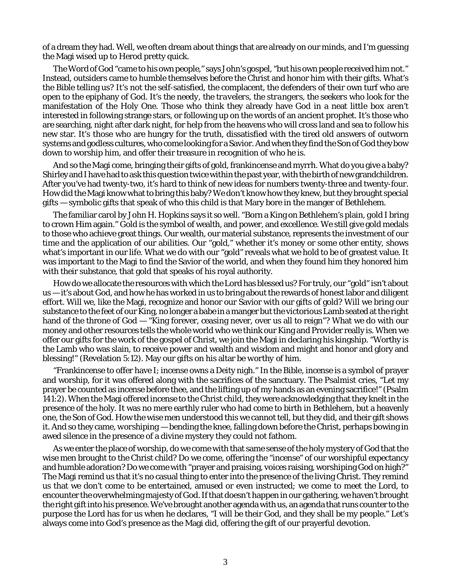of a dream they had. Well, we often dream about things that are already on our minds, and I'm guessing the Magi wised up to Herod pretty quick.

The Word of God "came to his own people," says John's gospel, "but his own people received him not." Instead, *outsiders* came to humble themselves before the Christ and honor him with their gifts. What's the Bible telling us? It's not the self-satisfied, the complacent, the defenders of their own turf who are open to the epiphany of God. It's *the needy, the travelers, the strangers, the seekers* who look for the manifestation of the Holy One. Those who think they already have God in a neat little box aren't interested in following strange stars, or following up on the words of an ancient prophet. It's those who are searching, night after dark night, for help from the heavens who will cross land and sea to follow his new star. It's those who are hungry for the truth, dissatisfied with the tired old answers of outworn systems and godless cultures, who come looking for a Savior. And when they find the Son of God they bow down to worship him, and offer their treasure in recognition of *who he is.*

And so the Magi come, bringing their gifts of gold, frankincense and myrrh. What do you give a baby? Shirley and I have had to ask this question twice within the past year, with the birth of new grandchildren. After you've had twenty-two, it's hard to think of new ideas for numbers twenty-three and twenty-four. How did the Magi know what to bring *this* baby? We don't know how they knew, but they brought special gifts — symbolic gifts that speak of who this child is that Mary bore in the manger of Bethlehem.

The familiar carol by John H. Hopkins says it so well. "Born a King on Bethlehem's plain, *gold* I bring to crown Him again." Gold is the symbol of wealth, and power, and excellence. We still give gold medals to those who achieve great things. Our wealth, our material substance, represents the investment of our time and the application of our abilities. Our "gold," whether it's money or some other entity, shows what's important in our life. What we do with our "gold" reveals what we hold to be of greatest value. It was important to the Magi to find the Savior of the world, and when they found him they honored him with their substance, that gold that speaks of his royal authority.

How do we allocate the resources with which the Lord has blessed us? For truly, our "gold" isn't about us — it's about God, and how he has worked in us to bring about the rewards of honest labor and diligent effort. Will we, like the Magi, recognize and honor our Savior with our gifts of gold? Will we bring our substance to the feet of our King, no longer a babe in a manger but the victorious Lamb seated at the right hand of the throne of God — "King forever, ceasing never, over us all to reign"? What we do with our money and other resources tells the whole world who we think our King and Provider really is. When we offer our gifts for the work of the gospel of Christ, we join the Magi in declaring his kingship. "Worthy is the Lamb who was slain, to receive power and wealth and wisdom and might and honor and glory and blessing!" (Revelation 5:12). May our gifts on his altar be *worthy of him*.

"Frankincense to offer have I; incense owns a Deity nigh." In the Bible, incense is a symbol of prayer and worship, for it was offered along with the sacrifices of the sanctuary. The Psalmist cries, "Let my prayer be counted as incense before thee, and the lifting up of my hands as an evening sacrifice!" (Psalm 141:2). When the Magi offered incense to the Christ child, they were acknowledging that they knelt in the presence of the holy. It was no mere earthly ruler who had come to birth in Bethlehem, but a heavenly one, the Son of God. How the wise men understood this we cannot tell, but they did, and their gift shows it. And so they came, *worshiping* — bending the knee, falling down before the Christ, perhaps bowing in awed silence in the presence of a divine mystery they could not fathom.

As we enter the place of worship, do we come with that same sense of the holy mystery of God that the wise men brought to the Christ child? Do we come, offering the "incense" of our worshipful expectancy and humble adoration? Do we come with "prayer and praising, voices raising, worshiping God on high?" The Magi remind us that it's no casual thing to enter into the presence of the living Christ. They remind us that we don't come to be entertained, amused or even instructed; we come *to meet the Lord,* to encounter the overwhelming majesty of God. If that doesn't happen in our gathering, we haven't brought the right gift into his presence. We've brought another agenda with us, an agenda that runs counter to the purpose the Lord has for us when he declares, "I will be their God, and they shall be my people." Let's always come into God's presence as the Magi did, offering the gift of our prayerful devotion.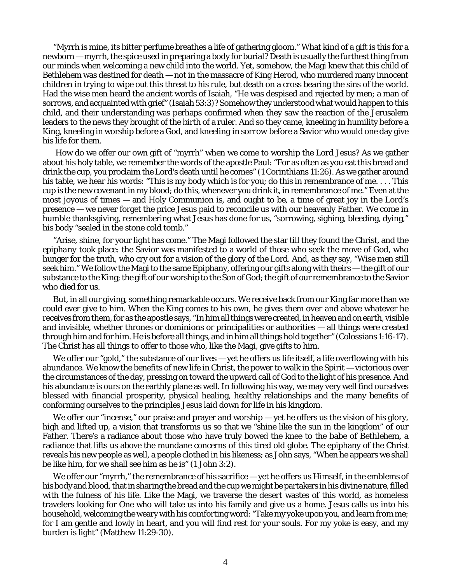"Myrrh is mine, its bitter perfume breathes a life of gathering gloom." What kind of a gift is *this* for a newborn — myrrh, the spice used in preparing a body for burial? Death is usually the furthest thing from our minds when welcoming a new child into the world. Yet, somehow, the Magi knew that this child of Bethlehem was destined for death — not in the massacre of King Herod, who murdered many innocent children in trying to wipe out this threat to his rule, but death on a cross bearing the sins of the world. Had the wise men heard the ancient words of Isaiah, "He was despised and rejected by men; a man of sorrows, and acquainted with grief" (Isaiah 53:3)? Somehow they understood what would happen to this child, and their understanding was perhaps confirmed when they saw the reaction of the Jerusalem leaders to the news they brought of the birth of a ruler. And so they came, kneeling in humility before a King, kneeling in worship before a God, and *kneeling in sorrow* before a Savior who would one day give his life for them.

 How do we offer our own gift of "myrrh" when we come to worship the Lord Jesus? As we gather about his holy table, we remember the words of the apostle Paul: "For as often as you eat this bread and drink the cup, you proclaim the Lord's death until he comes" (1 Corinthians 11:26). As we gather around his table, we hear his words: "This is my body which is for you; do this in remembrance of me.... This cup is the new covenant in my blood; do this, whenever you drink it, in remembrance of me." Even at the most joyous of times — and Holy Communion is, and ought to be, a time of great joy in the Lord's presence — we never forget the price Jesus paid to reconcile us with our heavenly Father. We come in humble thanksgiving, remembering what Jesus has done for us, "sorrowing, sighing, bleeding, dying," his body "sealed in the stone cold tomb."

"Arise, shine, for your light has come." The Magi followed the star till they found the Christ, and the *epiphany* took place: the Savior was manifested to a world of those who seek the move of God, who hunger for the truth, who cry out for a vision of the glory of the Lord. And, as they say, "Wise men still seek him." We follow the Magi to the same Epiphany, offering our gifts along with theirs — the gift of our substance to the King; the gift of our worship to the Son of God; the gift of our remembrance to the Savior who died for us.

But, in all our giving, something remarkable occurs. We receive back from our King far more than we could ever give to him. When the King comes to his own, he gives them over and above whatever he receives from them, for as the apostle says, "In him all things were created, in heaven and on earth, visible and invisible, whether thrones or dominions or principalities or authorities — all things were created through him and for him. He is before all things, and in him all things hold together" (Colossians 1:16-17). The Christ has all things to offer to those who, like the Magi, give gifts to him.

We offer our "gold," the substance of our lives — yet he offers us life itself, a life overflowing with his abundance. We know the benefits of new life in Christ, the power to walk in the Spirit — victorious over the circumstances of the day, pressing on toward the upward call of God to the light of his presence. And his abundance is ours on the earthly plane as well. In following his way, we may very well find ourselves blessed with financial prosperity, physical healing, healthy relationships and the many benefits of conforming ourselves to the principles Jesus laid down for life in his kingdom.

We offer our "incense," our praise and prayer and worship — yet he offers us the vision of his glory, high and lifted up, a vision that transforms us so that we "shine like the sun in the kingdom" of our Father. There's a radiance about those who have truly bowed the knee to the babe of Bethlehem, a radiance that lifts us above the mundane concerns of this tired old globe. The epiphany of the Christ reveals his new people as well, a people clothed in his likeness; as John says, "When he appears we shall be like him, for we shall see him as he is" (1 John 3:2).

We offer our "myrrh," the remembrance of his sacrifice — yet he offers us Himself, in the emblems of his body and blood, that in sharing the bread and the cup we might be partakers in his divine nature, filled with the fulness of his life. Like the Magi, we traverse the desert wastes of this world, as homeless travelers looking for One who will take us into his family and give us a home. Jesus calls us into his household, welcoming the weary with his comforting word: "Take my yoke upon you, and learn from me; for I am gentle and lowly in heart, and you will find rest for your souls. For my yoke is easy, and my burden is light" (Matthew 11:29-30).